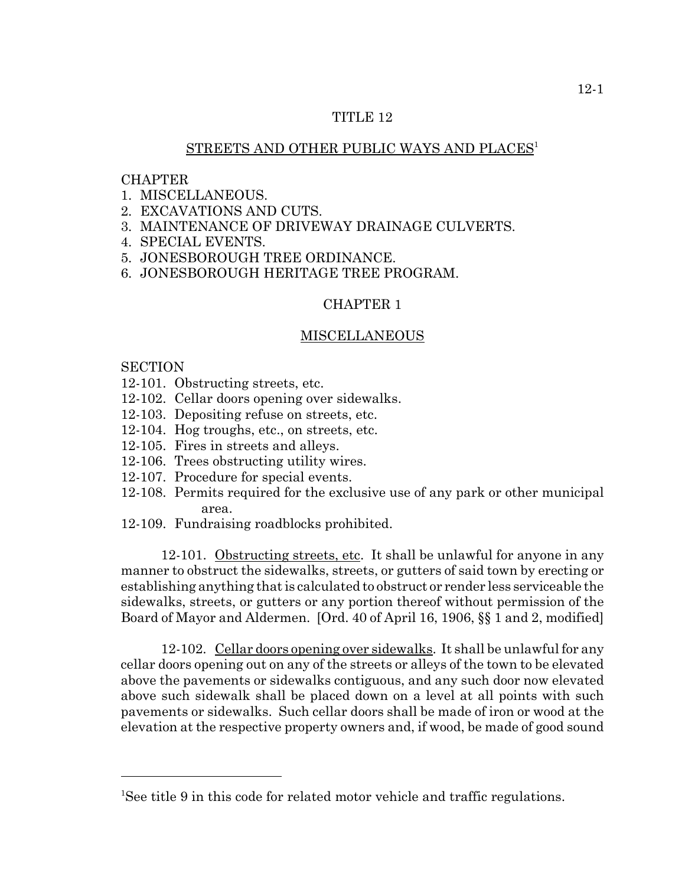## TITLE 12

## STREETS AND OTHER PUBLIC WAYS AND PLACES<sup>1</sup>

#### CHAPTER

- 1. MISCELLANEOUS.
- 2. EXCAVATIONS AND CUTS.
- 3. MAINTENANCE OF DRIVEWAY DRAINAGE CULVERTS.
- 4. SPECIAL EVENTS.
- 5. JONESBOROUGH TREE ORDINANCE.
- 6. JONESBOROUGH HERITAGE TREE PROGRAM.

#### CHAPTER 1

#### MISCELLANEOUS

#### **SECTION**

- 12-101. Obstructing streets, etc.
- 12-102. Cellar doors opening over sidewalks.
- 12-103. Depositing refuse on streets, etc.
- 12-104. Hog troughs, etc., on streets, etc.
- 12-105. Fires in streets and alleys.
- 12-106. Trees obstructing utility wires.
- 12-107. Procedure for special events.
- 12-108. Permits required for the exclusive use of any park or other municipal area.
- 12-109. Fundraising roadblocks prohibited.

12-101. Obstructing streets, etc. It shall be unlawful for anyone in any manner to obstruct the sidewalks, streets, or gutters of said town by erecting or establishing anything that is calculated to obstruct or render less serviceable the sidewalks, streets, or gutters or any portion thereof without permission of the Board of Mayor and Aldermen. [Ord. 40 of April 16, 1906, §§ 1 and 2, modified]

12-102. Cellar doors opening over sidewalks. It shall be unlawful for any cellar doors opening out on any of the streets or alleys of the town to be elevated above the pavements or sidewalks contiguous, and any such door now elevated above such sidewalk shall be placed down on a level at all points with such pavements or sidewalks. Such cellar doors shall be made of iron or wood at the elevation at the respective property owners and, if wood, be made of good sound

<sup>&</sup>lt;sup>1</sup>See title 9 in this code for related motor vehicle and traffic regulations.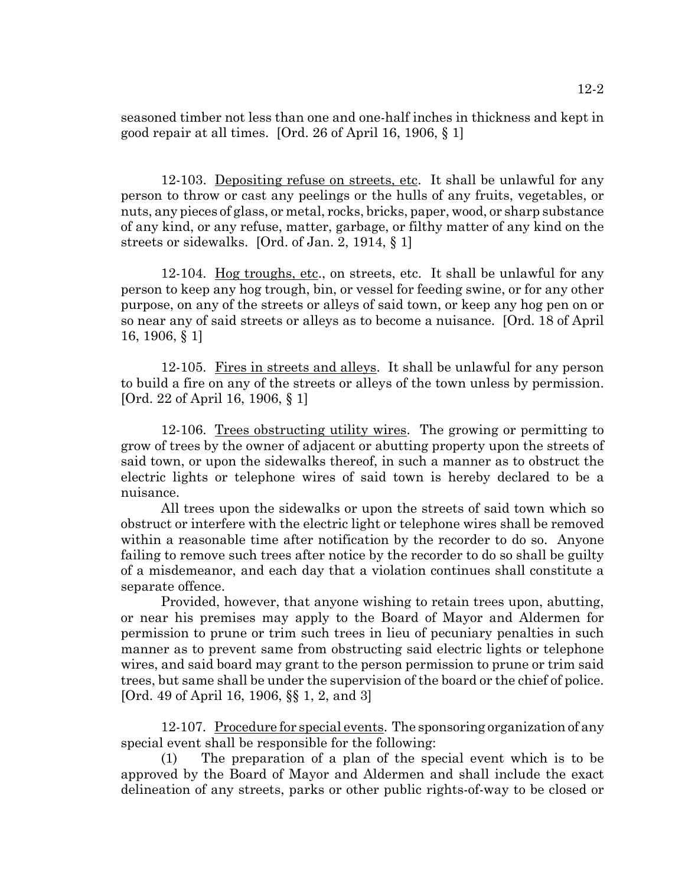seasoned timber not less than one and one-half inches in thickness and kept in good repair at all times. [Ord. 26 of April 16, 1906, § 1]

12-103. Depositing refuse on streets, etc. It shall be unlawful for any person to throw or cast any peelings or the hulls of any fruits, vegetables, or nuts, any pieces of glass, or metal, rocks, bricks, paper, wood, or sharp substance of any kind, or any refuse, matter, garbage, or filthy matter of any kind on the streets or sidewalks. [Ord. of Jan. 2, 1914, § 1]

12-104. Hog troughs, etc., on streets, etc. It shall be unlawful for any person to keep any hog trough, bin, or vessel for feeding swine, or for any other purpose, on any of the streets or alleys of said town, or keep any hog pen on or so near any of said streets or alleys as to become a nuisance. [Ord. 18 of April 16, 1906, § 1]

12-105. Fires in streets and alleys. It shall be unlawful for any person to build a fire on any of the streets or alleys of the town unless by permission. [Ord. 22 of April 16, 1906, § 1]

12-106. Trees obstructing utility wires. The growing or permitting to grow of trees by the owner of adjacent or abutting property upon the streets of said town, or upon the sidewalks thereof, in such a manner as to obstruct the electric lights or telephone wires of said town is hereby declared to be a nuisance.

All trees upon the sidewalks or upon the streets of said town which so obstruct or interfere with the electric light or telephone wires shall be removed within a reasonable time after notification by the recorder to do so. Anyone failing to remove such trees after notice by the recorder to do so shall be guilty of a misdemeanor, and each day that a violation continues shall constitute a separate offence.

Provided, however, that anyone wishing to retain trees upon, abutting, or near his premises may apply to the Board of Mayor and Aldermen for permission to prune or trim such trees in lieu of pecuniary penalties in such manner as to prevent same from obstructing said electric lights or telephone wires, and said board may grant to the person permission to prune or trim said trees, but same shall be under the supervision of the board or the chief of police. [Ord. 49 of April 16, 1906, §§ 1, 2, and 3]

12-107. Procedure for special events. The sponsoring organization of any special event shall be responsible for the following:

(1) The preparation of a plan of the special event which is to be approved by the Board of Mayor and Aldermen and shall include the exact delineation of any streets, parks or other public rights-of-way to be closed or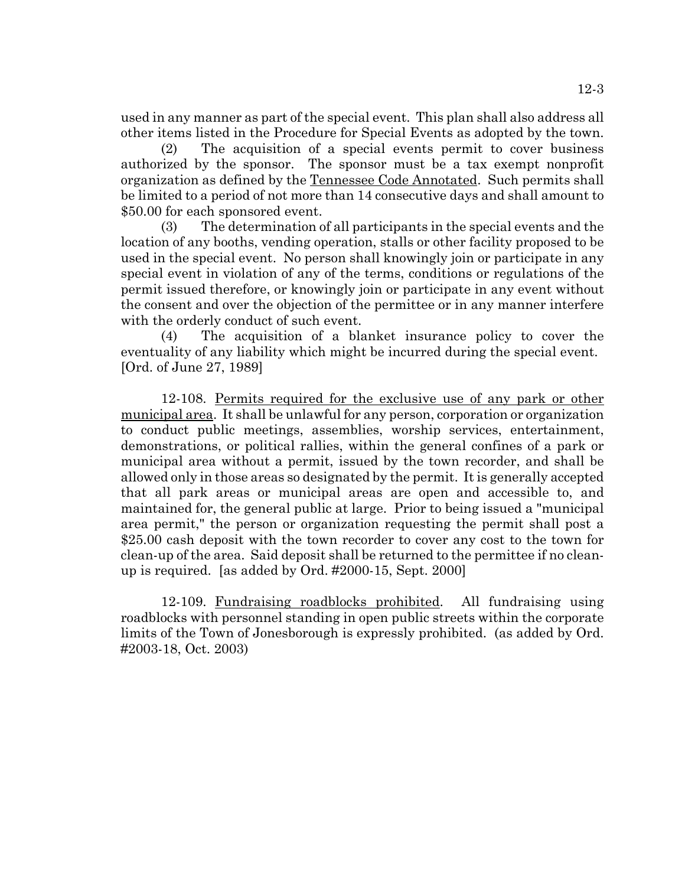used in any manner as part of the special event. This plan shall also address all other items listed in the Procedure for Special Events as adopted by the town.

(2) The acquisition of a special events permit to cover business authorized by the sponsor. The sponsor must be a tax exempt nonprofit organization as defined by the Tennessee Code Annotated. Such permits shall be limited to a period of not more than 14 consecutive days and shall amount to \$50.00 for each sponsored event.

(3) The determination of all participants in the special events and the location of any booths, vending operation, stalls or other facility proposed to be used in the special event. No person shall knowingly join or participate in any special event in violation of any of the terms, conditions or regulations of the permit issued therefore, or knowingly join or participate in any event without the consent and over the objection of the permittee or in any manner interfere with the orderly conduct of such event.

(4) The acquisition of a blanket insurance policy to cover the eventuality of any liability which might be incurred during the special event. [Ord. of June 27, 1989]

12-108. Permits required for the exclusive use of any park or other municipal area. It shall be unlawful for any person, corporation or organization to conduct public meetings, assemblies, worship services, entertainment, demonstrations, or political rallies, within the general confines of a park or municipal area without a permit, issued by the town recorder, and shall be allowed only in those areas so designated by the permit. It is generally accepted that all park areas or municipal areas are open and accessible to, and maintained for, the general public at large. Prior to being issued a "municipal area permit," the person or organization requesting the permit shall post a \$25.00 cash deposit with the town recorder to cover any cost to the town for clean-up of the area. Said deposit shall be returned to the permittee if no cleanup is required. [as added by Ord. #2000-15, Sept. 2000]

12-109. Fundraising roadblocks prohibited. All fundraising using roadblocks with personnel standing in open public streets within the corporate limits of the Town of Jonesborough is expressly prohibited. (as added by Ord. #2003-18, Oct. 2003)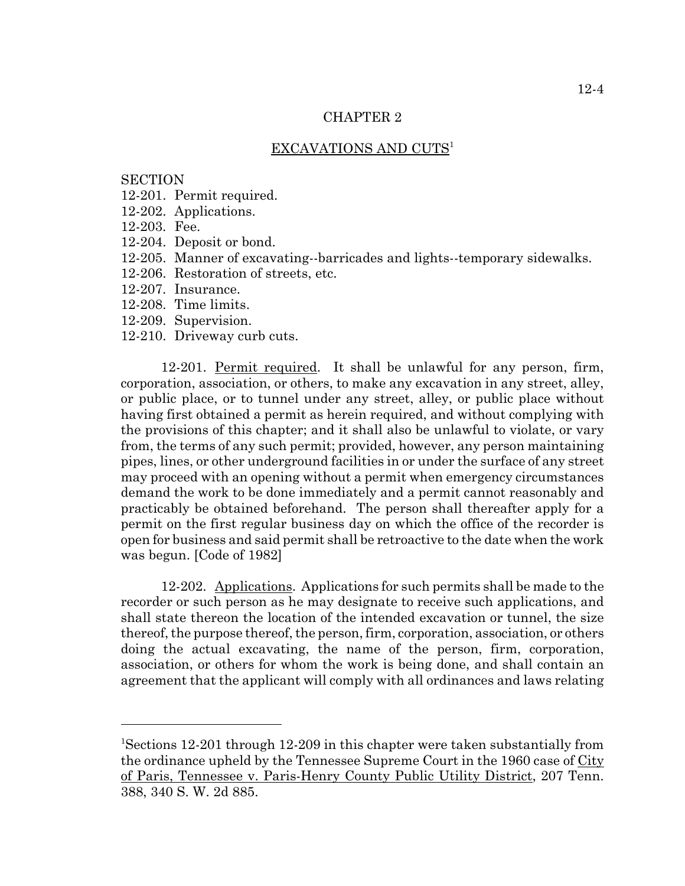## CHAPTER 2

## EXCAVATIONS AND CUTS<sup>1</sup>

#### **SECTION**

- 12-201. Permit required.
- 12-202. Applications.
- 12-203. Fee.
- 12-204. Deposit or bond.
- 12-205. Manner of excavating--barricades and lights--temporary sidewalks.
- 12-206. Restoration of streets, etc.
- 12-207. Insurance.
- 12-208. Time limits.
- 12-209. Supervision.
- 12-210. Driveway curb cuts.

12-201. Permit required. It shall be unlawful for any person, firm, corporation, association, or others, to make any excavation in any street, alley, or public place, or to tunnel under any street, alley, or public place without having first obtained a permit as herein required, and without complying with the provisions of this chapter; and it shall also be unlawful to violate, or vary from, the terms of any such permit; provided, however, any person maintaining pipes, lines, or other underground facilities in or under the surface of any street may proceed with an opening without a permit when emergency circumstances demand the work to be done immediately and a permit cannot reasonably and practicably be obtained beforehand. The person shall thereafter apply for a permit on the first regular business day on which the office of the recorder is open for business and said permit shall be retroactive to the date when the work was begun. [Code of 1982]

12-202. Applications. Applications for such permits shall be made to the recorder or such person as he may designate to receive such applications, and shall state thereon the location of the intended excavation or tunnel, the size thereof, the purpose thereof, the person, firm, corporation, association, or others doing the actual excavating, the name of the person, firm, corporation, association, or others for whom the work is being done, and shall contain an agreement that the applicant will comply with all ordinances and laws relating

<sup>&</sup>lt;sup>1</sup>Sections 12-201 through 12-209 in this chapter were taken substantially from the ordinance upheld by the Tennessee Supreme Court in the 1960 case of City of Paris, Tennessee v. Paris-Henry County Public Utility District, 207 Tenn. 388, 340 S. W. 2d 885.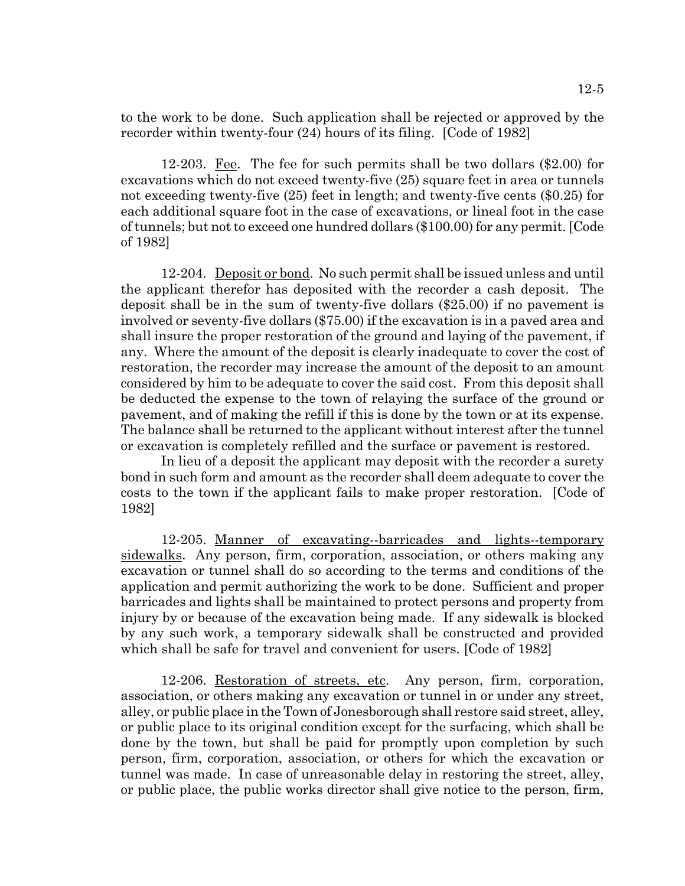to the work to be done. Such application shall be rejected or approved by the recorder within twenty-four (24) hours of its filing. [Code of 1982]

12-203. Fee. The fee for such permits shall be two dollars (\$2.00) for excavations which do not exceed twenty-five (25) square feet in area or tunnels not exceeding twenty-five (25) feet in length; and twenty-five cents (\$0.25) for each additional square foot in the case of excavations, or lineal foot in the case of tunnels; but not to exceed one hundred dollars (\$100.00) for any permit. [Code of 1982]

12-204. Deposit or bond. No such permit shall be issued unless and until the applicant therefor has deposited with the recorder a cash deposit. The deposit shall be in the sum of twenty-five dollars (\$25.00) if no pavement is involved or seventy-five dollars (\$75.00) if the excavation is in a paved area and shall insure the proper restoration of the ground and laying of the pavement, if any. Where the amount of the deposit is clearly inadequate to cover the cost of restoration, the recorder may increase the amount of the deposit to an amount considered by him to be adequate to cover the said cost. From this deposit shall be deducted the expense to the town of relaying the surface of the ground or pavement, and of making the refill if this is done by the town or at its expense. The balance shall be returned to the applicant without interest after the tunnel or excavation is completely refilled and the surface or pavement is restored.

In lieu of a deposit the applicant may deposit with the recorder a surety bond in such form and amount as the recorder shall deem adequate to cover the costs to the town if the applicant fails to make proper restoration. [Code of 1982]

12-205. Manner of excavating--barricades and lights--temporary sidewalks. Any person, firm, corporation, association, or others making any excavation or tunnel shall do so according to the terms and conditions of the application and permit authorizing the work to be done. Sufficient and proper barricades and lights shall be maintained to protect persons and property from injury by or because of the excavation being made. If any sidewalk is blocked by any such work, a temporary sidewalk shall be constructed and provided which shall be safe for travel and convenient for users. [Code of 1982]

12-206. Restoration of streets, etc. Any person, firm, corporation, association, or others making any excavation or tunnel in or under any street, alley, or public place in the Town of Jonesborough shall restore said street, alley, or public place to its original condition except for the surfacing, which shall be done by the town, but shall be paid for promptly upon completion by such person, firm, corporation, association, or others for which the excavation or tunnel was made. In case of unreasonable delay in restoring the street, alley, or public place, the public works director shall give notice to the person, firm,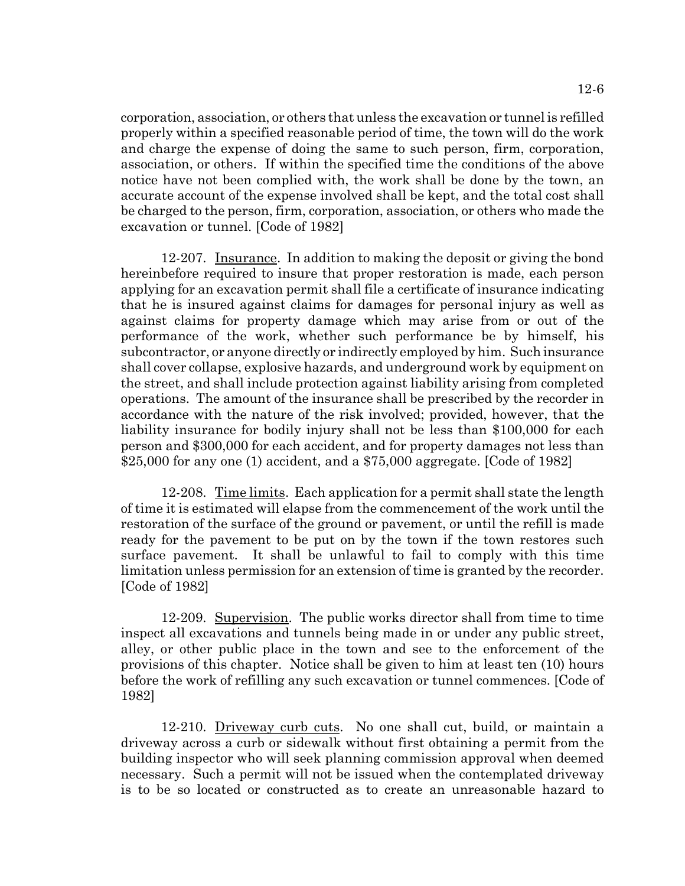12-6

corporation, association, or others that unless the excavation or tunnel is refilled properly within a specified reasonable period of time, the town will do the work and charge the expense of doing the same to such person, firm, corporation, association, or others. If within the specified time the conditions of the above notice have not been complied with, the work shall be done by the town, an accurate account of the expense involved shall be kept, and the total cost shall be charged to the person, firm, corporation, association, or others who made the excavation or tunnel. [Code of 1982]

12-207. Insurance. In addition to making the deposit or giving the bond hereinbefore required to insure that proper restoration is made, each person applying for an excavation permit shall file a certificate of insurance indicating that he is insured against claims for damages for personal injury as well as against claims for property damage which may arise from or out of the performance of the work, whether such performance be by himself, his subcontractor, or anyone directly or indirectly employed by him. Such insurance shall cover collapse, explosive hazards, and underground work by equipment on the street, and shall include protection against liability arising from completed operations. The amount of the insurance shall be prescribed by the recorder in accordance with the nature of the risk involved; provided, however, that the liability insurance for bodily injury shall not be less than \$100,000 for each person and \$300,000 for each accident, and for property damages not less than \$25,000 for any one (1) accident, and a \$75,000 aggregate. [Code of 1982]

12-208. Time limits. Each application for a permit shall state the length of time it is estimated will elapse from the commencement of the work until the restoration of the surface of the ground or pavement, or until the refill is made ready for the pavement to be put on by the town if the town restores such surface pavement. It shall be unlawful to fail to comply with this time limitation unless permission for an extension of time is granted by the recorder. [Code of 1982]

12-209. Supervision. The public works director shall from time to time inspect all excavations and tunnels being made in or under any public street, alley, or other public place in the town and see to the enforcement of the provisions of this chapter. Notice shall be given to him at least ten (10) hours before the work of refilling any such excavation or tunnel commences. [Code of 1982]

12-210. Driveway curb cuts. No one shall cut, build, or maintain a driveway across a curb or sidewalk without first obtaining a permit from the building inspector who will seek planning commission approval when deemed necessary. Such a permit will not be issued when the contemplated driveway is to be so located or constructed as to create an unreasonable hazard to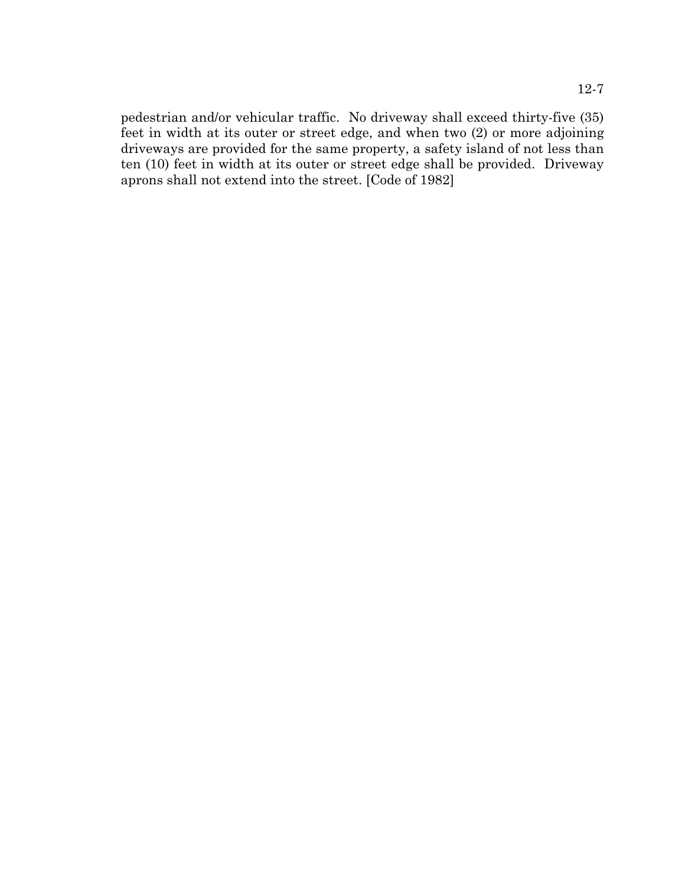pedestrian and/or vehicular traffic. No driveway shall exceed thirty-five (35) feet in width at its outer or street edge, and when two (2) or more adjoining driveways are provided for the same property, a safety island of not less than ten (10) feet in width at its outer or street edge shall be provided. Driveway aprons shall not extend into the street. [Code of 1982]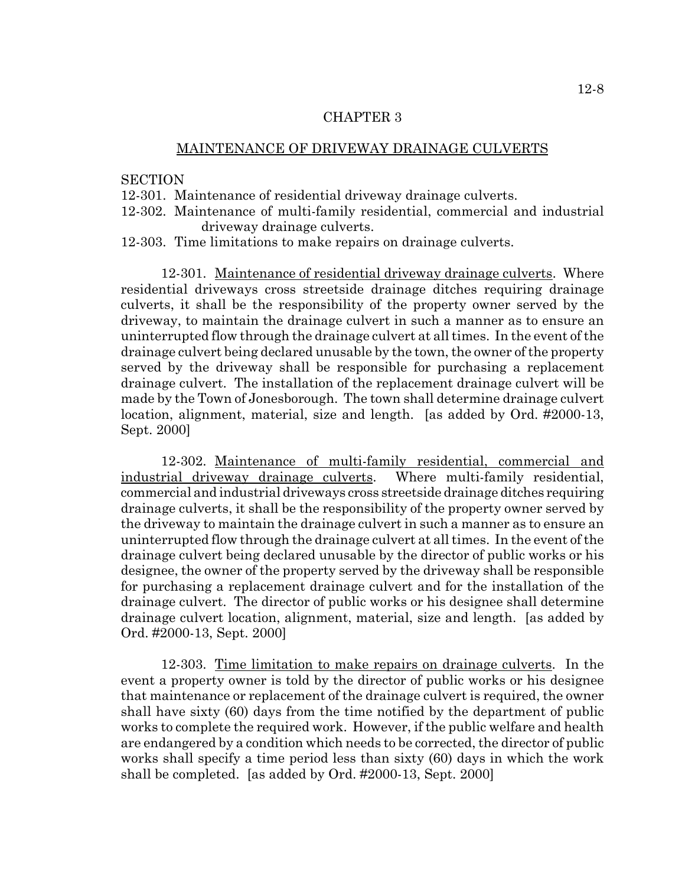## CHAPTER 3

## MAINTENANCE OF DRIVEWAY DRAINAGE CULVERTS

#### **SECTION**

- 12-301. Maintenance of residential driveway drainage culverts.
- 12-302. Maintenance of multi-family residential, commercial and industrial driveway drainage culverts.
- 12-303. Time limitations to make repairs on drainage culverts.

12-301. Maintenance of residential driveway drainage culverts. Where residential driveways cross streetside drainage ditches requiring drainage culverts, it shall be the responsibility of the property owner served by the driveway, to maintain the drainage culvert in such a manner as to ensure an uninterrupted flow through the drainage culvert at all times. In the event of the drainage culvert being declared unusable by the town, the owner of the property served by the driveway shall be responsible for purchasing a replacement drainage culvert. The installation of the replacement drainage culvert will be made by the Town of Jonesborough. The town shall determine drainage culvert location, alignment, material, size and length. [as added by Ord. #2000-13, Sept. 2000]

12-302. Maintenance of multi-family residential, commercial and industrial driveway drainage culverts. Where multi-family residential, commercial and industrial driveways cross streetside drainage ditches requiring drainage culverts, it shall be the responsibility of the property owner served by the driveway to maintain the drainage culvert in such a manner as to ensure an uninterrupted flow through the drainage culvert at all times. In the event of the drainage culvert being declared unusable by the director of public works or his designee, the owner of the property served by the driveway shall be responsible for purchasing a replacement drainage culvert and for the installation of the drainage culvert. The director of public works or his designee shall determine drainage culvert location, alignment, material, size and length. [as added by Ord. #2000-13, Sept. 2000]

12-303. Time limitation to make repairs on drainage culverts. In the event a property owner is told by the director of public works or his designee that maintenance or replacement of the drainage culvert is required, the owner shall have sixty (60) days from the time notified by the department of public works to complete the required work. However, if the public welfare and health are endangered by a condition which needs to be corrected, the director of public works shall specify a time period less than sixty (60) days in which the work shall be completed. [as added by Ord. #2000-13, Sept. 2000]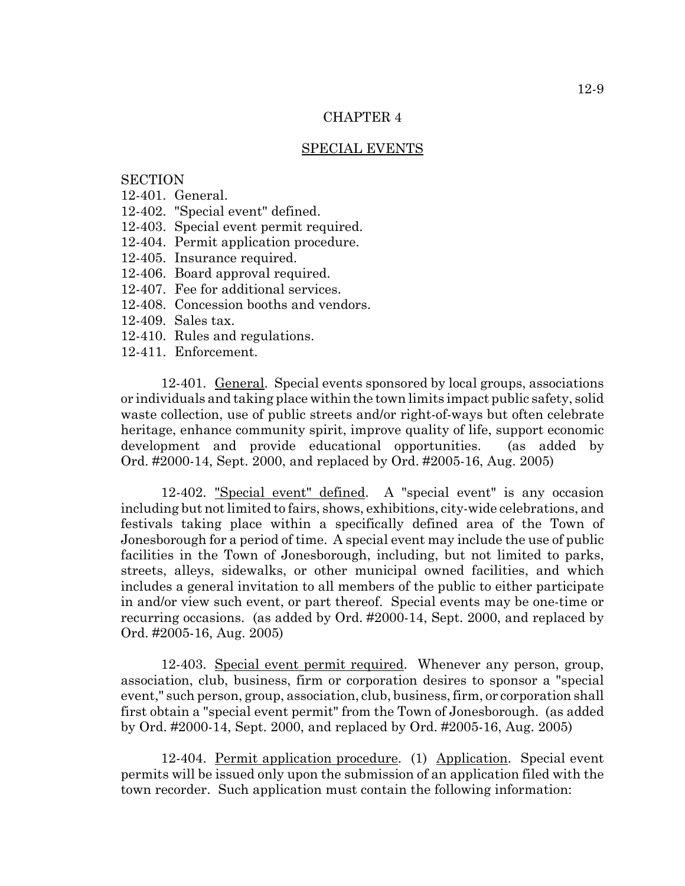## CHAPTER 4

#### SPECIAL EVENTS

# **SECTION**

- 12-401. General.
- 12-402. "Special event" defined.
- 12-403. Special event permit required.
- 12-404. Permit application procedure.
- 12-405. Insurance required.
- 12-406. Board approval required.
- 12-407. Fee for additional services.
- 12-408. Concession booths and vendors.
- 12-409. Sales tax.
- 12-410. Rules and regulations.
- 12-411. Enforcement.

12-401. General. Special events sponsored by local groups, associations or individuals and taking place within the town limits impact public safety, solid waste collection, use of public streets and/or right-of-ways but often celebrate heritage, enhance community spirit, improve quality of life, support economic development and provide educational opportunities. (as added by Ord. #2000-14, Sept. 2000, and replaced by Ord. #2005-16, Aug. 2005)

12-402. "Special event" defined. A "special event" is any occasion including but not limited to fairs, shows, exhibitions, city-wide celebrations, and festivals taking place within a specifically defined area of the Town of Jonesborough for a period of time. A special event may include the use of public facilities in the Town of Jonesborough, including, but not limited to parks, streets, alleys, sidewalks, or other municipal owned facilities, and which includes a general invitation to all members of the public to either participate in and/or view such event, or part thereof. Special events may be one-time or recurring occasions. (as added by Ord. #2000-14, Sept. 2000, and replaced by Ord. #2005-16, Aug. 2005)

12-403. Special event permit required. Whenever any person, group, association, club, business, firm or corporation desires to sponsor a "special event," such person, group, association, club, business, firm, or corporation shall first obtain a "special event permit" from the Town of Jonesborough. (as added by Ord. #2000-14, Sept. 2000, and replaced by Ord. #2005-16, Aug. 2005)

12-404. Permit application procedure. (1) Application. Special event permits will be issued only upon the submission of an application filed with the town recorder. Such application must contain the following information: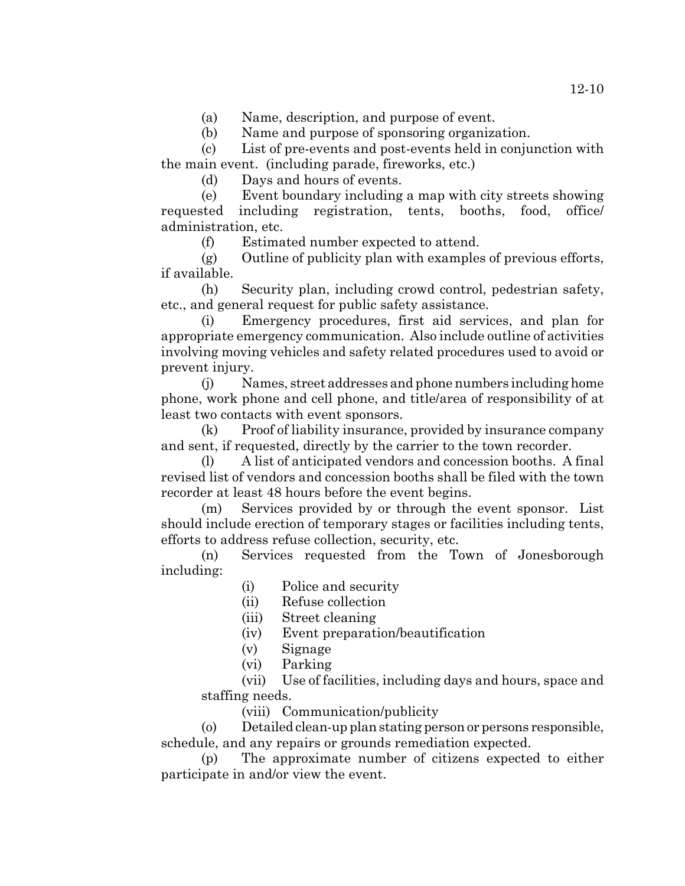(a) Name, description, and purpose of event.

(b) Name and purpose of sponsoring organization.

(c) List of pre-events and post-events held in conjunction with the main event. (including parade, fireworks, etc.)

(d) Days and hours of events.

(e) Event boundary including a map with city streets showing requested including registration, tents, booths, food, office/ administration, etc.

(f) Estimated number expected to attend.

(g) Outline of publicity plan with examples of previous efforts, if available.

(h) Security plan, including crowd control, pedestrian safety, etc., and general request for public safety assistance.

(i) Emergency procedures, first aid services, and plan for appropriate emergency communication. Also include outline of activities involving moving vehicles and safety related procedures used to avoid or prevent injury.

(j) Names, street addresses and phone numbers including home phone, work phone and cell phone, and title/area of responsibility of at least two contacts with event sponsors.

(k) Proof of liability insurance, provided by insurance company and sent, if requested, directly by the carrier to the town recorder.

(l) A list of anticipated vendors and concession booths. A final revised list of vendors and concession booths shall be filed with the town recorder at least 48 hours before the event begins.

(m) Services provided by or through the event sponsor. List should include erection of temporary stages or facilities including tents, efforts to address refuse collection, security, etc.

(n) Services requested from the Town of Jonesborough including:

(i) Police and security

(ii) Refuse collection

- (iii) Street cleaning
- (iv) Event preparation/beautification
- (v) Signage
- (vi) Parking

(vii) Use of facilities, including days and hours, space and staffing needs.

(viii) Communication/publicity

(o) Detailed clean-up plan stating person or persons responsible, schedule, and any repairs or grounds remediation expected.

(p) The approximate number of citizens expected to either participate in and/or view the event.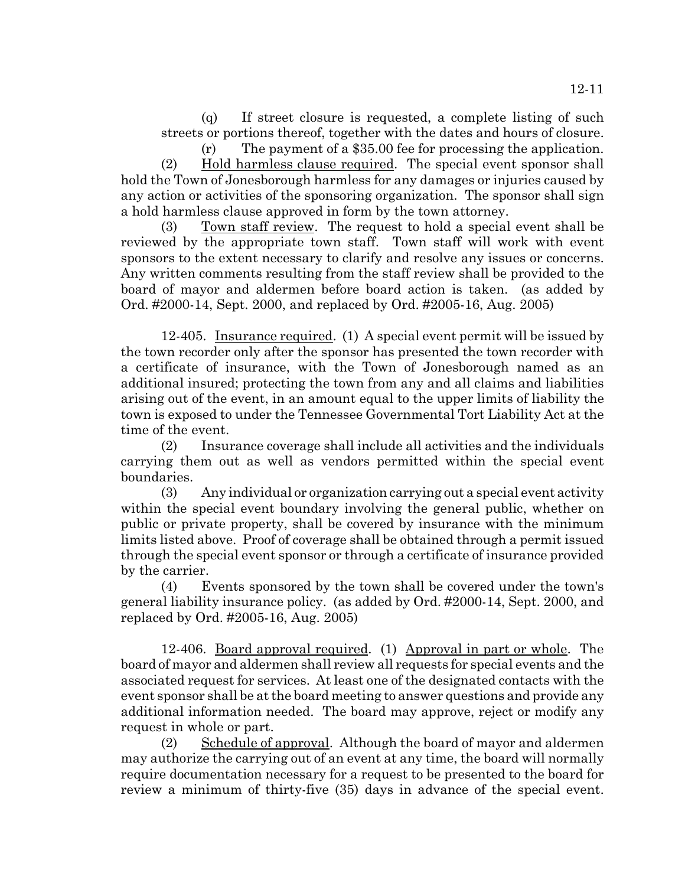(q) If street closure is requested, a complete listing of such streets or portions thereof, together with the dates and hours of closure.

(r) The payment of a \$35.00 fee for processing the application. (2) Hold harmless clause required. The special event sponsor shall hold the Town of Jonesborough harmless for any damages or injuries caused by any action or activities of the sponsoring organization. The sponsor shall sign a hold harmless clause approved in form by the town attorney.

(3) Town staff review. The request to hold a special event shall be reviewed by the appropriate town staff. Town staff will work with event sponsors to the extent necessary to clarify and resolve any issues or concerns. Any written comments resulting from the staff review shall be provided to the board of mayor and aldermen before board action is taken. (as added by Ord. #2000-14, Sept. 2000, and replaced by Ord. #2005-16, Aug. 2005)

12-405. Insurance required. (1) A special event permit will be issued by the town recorder only after the sponsor has presented the town recorder with a certificate of insurance, with the Town of Jonesborough named as an additional insured; protecting the town from any and all claims and liabilities arising out of the event, in an amount equal to the upper limits of liability the town is exposed to under the Tennessee Governmental Tort Liability Act at the time of the event.

(2) Insurance coverage shall include all activities and the individuals carrying them out as well as vendors permitted within the special event boundaries.

(3) Any individual or organization carrying out a special event activity within the special event boundary involving the general public, whether on public or private property, shall be covered by insurance with the minimum limits listed above. Proof of coverage shall be obtained through a permit issued through the special event sponsor or through a certificate of insurance provided by the carrier.

(4) Events sponsored by the town shall be covered under the town's general liability insurance policy. (as added by Ord. #2000-14, Sept. 2000, and replaced by Ord. #2005-16, Aug. 2005)

12-406. Board approval required. (1) Approval in part or whole. The board of mayor and aldermen shall review all requests for special events and the associated request for services. At least one of the designated contacts with the event sponsor shall be at the board meeting to answer questions and provide any additional information needed. The board may approve, reject or modify any request in whole or part.

(2) Schedule of approval. Although the board of mayor and aldermen may authorize the carrying out of an event at any time, the board will normally require documentation necessary for a request to be presented to the board for review a minimum of thirty-five (35) days in advance of the special event.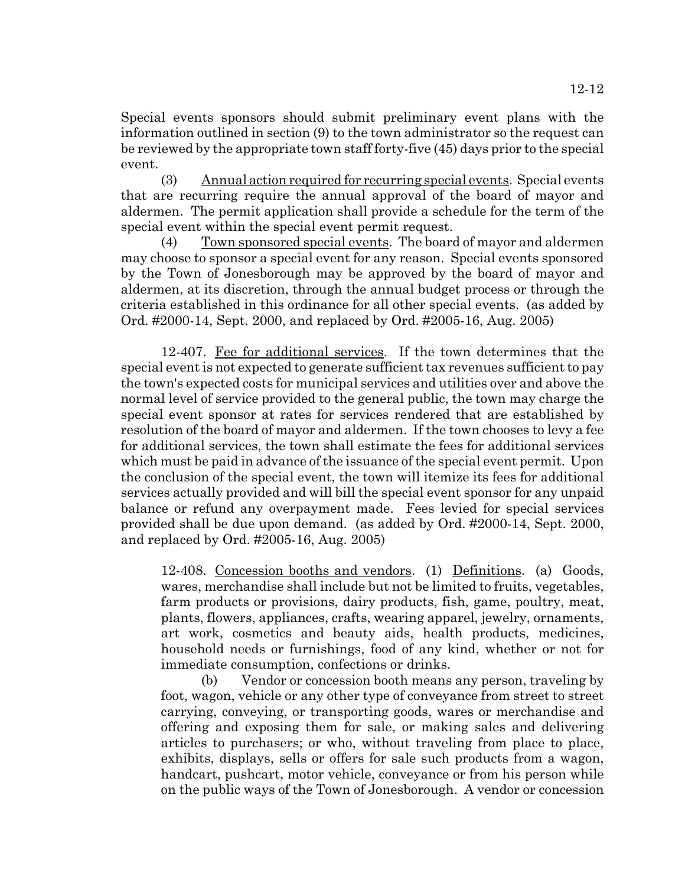Special events sponsors should submit preliminary event plans with the information outlined in section (9) to the town administrator so the request can be reviewed by the appropriate town staff forty-five (45) days prior to the special event.

(3) Annual action required for recurring special events. Special events that are recurring require the annual approval of the board of mayor and aldermen. The permit application shall provide a schedule for the term of the special event within the special event permit request.

(4) Town sponsored special events. The board of mayor and aldermen may choose to sponsor a special event for any reason. Special events sponsored by the Town of Jonesborough may be approved by the board of mayor and aldermen, at its discretion, through the annual budget process or through the criteria established in this ordinance for all other special events. (as added by Ord. #2000-14, Sept. 2000, and replaced by Ord. #2005-16, Aug. 2005)

12-407. Fee for additional services. If the town determines that the special event is not expected to generate sufficient tax revenues sufficient to pay the town's expected costs for municipal services and utilities over and above the normal level of service provided to the general public, the town may charge the special event sponsor at rates for services rendered that are established by resolution of the board of mayor and aldermen. If the town chooses to levy a fee for additional services, the town shall estimate the fees for additional services which must be paid in advance of the issuance of the special event permit. Upon the conclusion of the special event, the town will itemize its fees for additional services actually provided and will bill the special event sponsor for any unpaid balance or refund any overpayment made. Fees levied for special services provided shall be due upon demand. (as added by Ord. #2000-14, Sept. 2000, and replaced by Ord. #2005-16, Aug. 2005)

12-408. Concession booths and vendors. (1) Definitions. (a) Goods, wares, merchandise shall include but not be limited to fruits, vegetables, farm products or provisions, dairy products, fish, game, poultry, meat, plants, flowers, appliances, crafts, wearing apparel, jewelry, ornaments, art work, cosmetics and beauty aids, health products, medicines, household needs or furnishings, food of any kind, whether or not for immediate consumption, confections or drinks.

(b) Vendor or concession booth means any person, traveling by foot, wagon, vehicle or any other type of conveyance from street to street carrying, conveying, or transporting goods, wares or merchandise and offering and exposing them for sale, or making sales and delivering articles to purchasers; or who, without traveling from place to place, exhibits, displays, sells or offers for sale such products from a wagon, handcart, pushcart, motor vehicle, conveyance or from his person while on the public ways of the Town of Jonesborough. A vendor or concession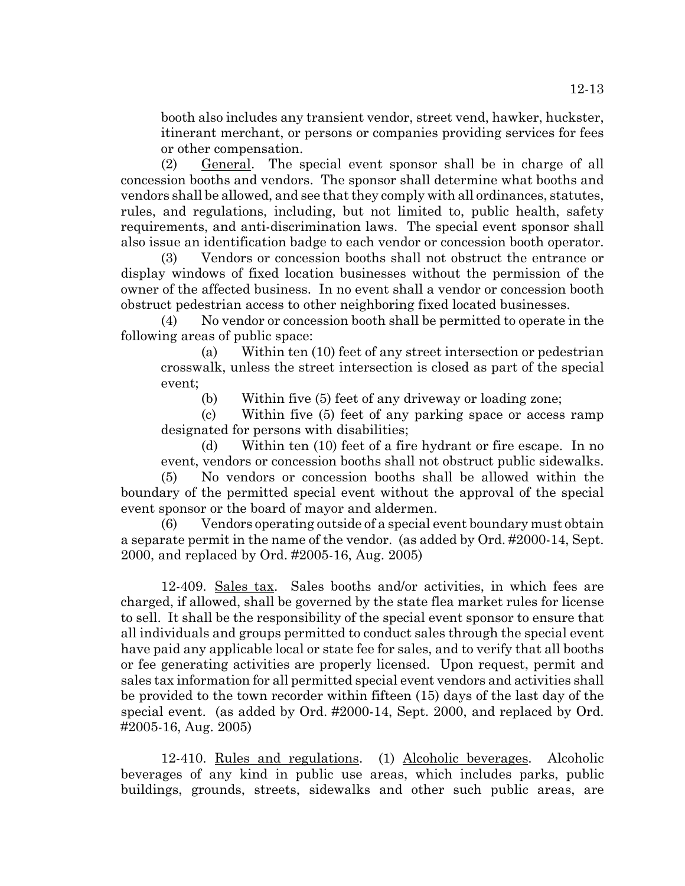booth also includes any transient vendor, street vend, hawker, huckster, itinerant merchant, or persons or companies providing services for fees or other compensation.

(2) General. The special event sponsor shall be in charge of all concession booths and vendors. The sponsor shall determine what booths and vendors shall be allowed, and see that they comply with all ordinances, statutes, rules, and regulations, including, but not limited to, public health, safety requirements, and anti-discrimination laws. The special event sponsor shall also issue an identification badge to each vendor or concession booth operator.

(3) Vendors or concession booths shall not obstruct the entrance or display windows of fixed location businesses without the permission of the owner of the affected business. In no event shall a vendor or concession booth obstruct pedestrian access to other neighboring fixed located businesses.

(4) No vendor or concession booth shall be permitted to operate in the following areas of public space:

(a) Within ten (10) feet of any street intersection or pedestrian crosswalk, unless the street intersection is closed as part of the special event;

(b) Within five (5) feet of any driveway or loading zone;

(c) Within five (5) feet of any parking space or access ramp designated for persons with disabilities;

(d) Within ten (10) feet of a fire hydrant or fire escape. In no event, vendors or concession booths shall not obstruct public sidewalks.

(5) No vendors or concession booths shall be allowed within the boundary of the permitted special event without the approval of the special event sponsor or the board of mayor and aldermen.

(6) Vendors operating outside of a special event boundary must obtain a separate permit in the name of the vendor. (as added by Ord. #2000-14, Sept. 2000, and replaced by Ord. #2005-16, Aug. 2005)

12-409. Sales tax. Sales booths and/or activities, in which fees are charged, if allowed, shall be governed by the state flea market rules for license to sell. It shall be the responsibility of the special event sponsor to ensure that all individuals and groups permitted to conduct sales through the special event have paid any applicable local or state fee for sales, and to verify that all booths or fee generating activities are properly licensed. Upon request, permit and sales tax information for all permitted special event vendors and activities shall be provided to the town recorder within fifteen (15) days of the last day of the special event. (as added by Ord. #2000-14, Sept. 2000, and replaced by Ord. #2005-16, Aug. 2005)

12-410. Rules and regulations. (1) Alcoholic beverages. Alcoholic beverages of any kind in public use areas, which includes parks, public buildings, grounds, streets, sidewalks and other such public areas, are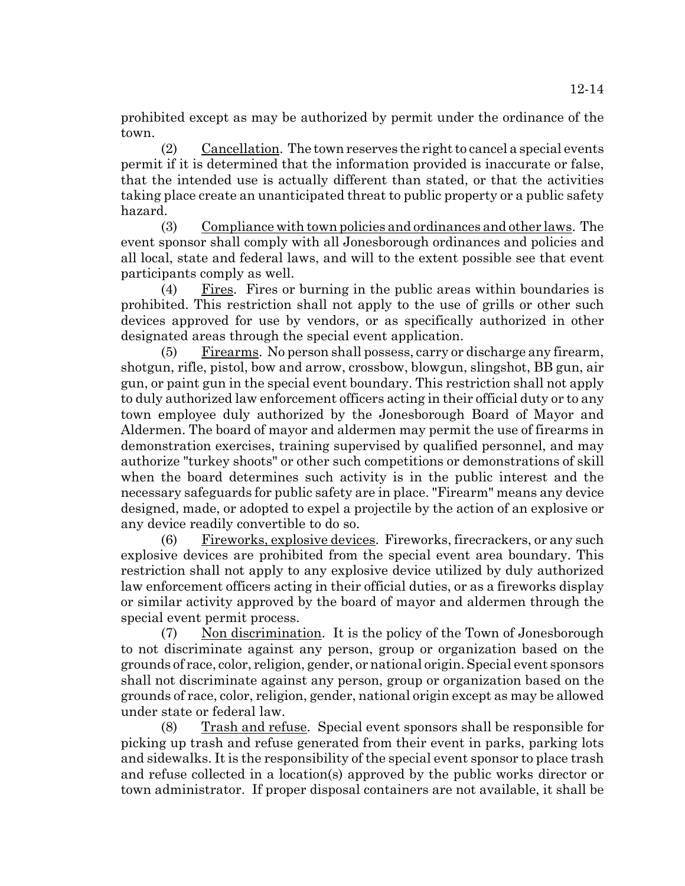prohibited except as may be authorized by permit under the ordinance of the town.

(2) Cancellation. The town reserves the right to cancel a special events permit if it is determined that the information provided is inaccurate or false, that the intended use is actually different than stated, or that the activities taking place create an unanticipated threat to public property or a public safety hazard.

(3) Compliance with town policies and ordinances and other laws. The event sponsor shall comply with all Jonesborough ordinances and policies and all local, state and federal laws, and will to the extent possible see that event participants comply as well.

(4) Fires. Fires or burning in the public areas within boundaries is prohibited. This restriction shall not apply to the use of grills or other such devices approved for use by vendors, or as specifically authorized in other designated areas through the special event application.

(5) Firearms. No person shall possess, carry or discharge any firearm, shotgun, rifle, pistol, bow and arrow, crossbow, blowgun, slingshot, BB gun, air gun, or paint gun in the special event boundary. This restriction shall not apply to duly authorized law enforcement officers acting in their official duty or to any town employee duly authorized by the Jonesborough Board of Mayor and Aldermen. The board of mayor and aldermen may permit the use of firearms in demonstration exercises, training supervised by qualified personnel, and may authorize "turkey shoots" or other such competitions or demonstrations of skill when the board determines such activity is in the public interest and the necessary safeguards for public safety are in place. "Firearm" means any device designed, made, or adopted to expel a projectile by the action of an explosive or any device readily convertible to do so.

(6) Fireworks, explosive devices. Fireworks, firecrackers, or any such explosive devices are prohibited from the special event area boundary. This restriction shall not apply to any explosive device utilized by duly authorized law enforcement officers acting in their official duties, or as a fireworks display or similar activity approved by the board of mayor and aldermen through the special event permit process.

(7) Non discrimination. It is the policy of the Town of Jonesborough to not discriminate against any person, group or organization based on the grounds of race, color, religion, gender, or national origin. Special event sponsors shall not discriminate against any person, group or organization based on the grounds of race, color, religion, gender, national origin except as may be allowed under state or federal law.

(8) Trash and refuse. Special event sponsors shall be responsible for picking up trash and refuse generated from their event in parks, parking lots and sidewalks. It is the responsibility of the special event sponsor to place trash and refuse collected in a location(s) approved by the public works director or town administrator. If proper disposal containers are not available, it shall be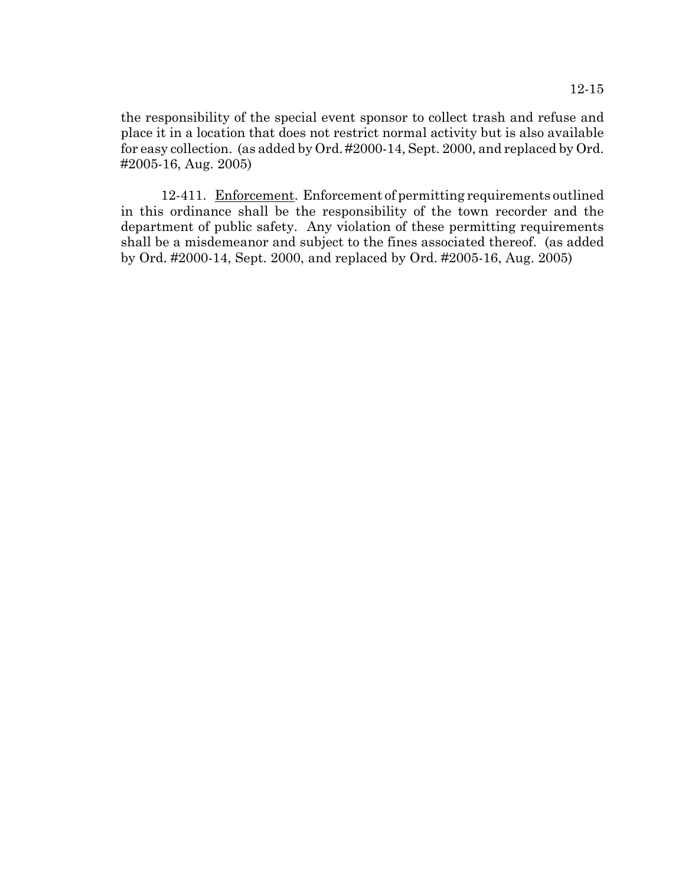the responsibility of the special event sponsor to collect trash and refuse and place it in a location that does not restrict normal activity but is also available for easy collection. (as added by Ord. #2000-14, Sept. 2000, and replaced by Ord. #2005-16, Aug. 2005)

12-411. Enforcement. Enforcement of permitting requirements outlined in this ordinance shall be the responsibility of the town recorder and the department of public safety. Any violation of these permitting requirements shall be a misdemeanor and subject to the fines associated thereof. (as added by Ord. #2000-14, Sept. 2000, and replaced by Ord. #2005-16, Aug. 2005)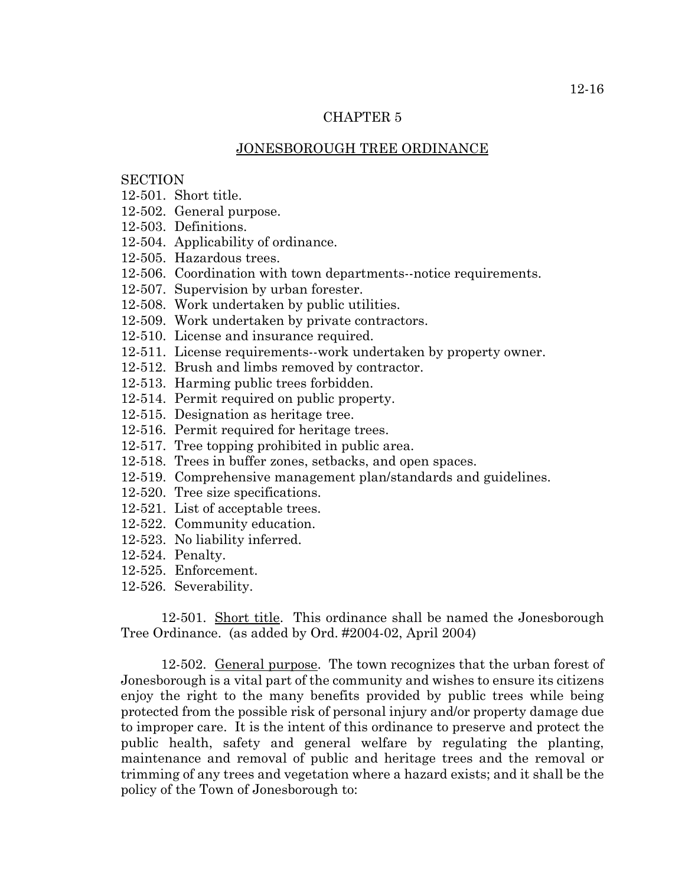## CHAPTER 5

## JONESBOROUGH TREE ORDINANCE

# **SECTION**

- 12-501. Short title.
- 12-502. General purpose.
- 12-503. Definitions.
- 12-504. Applicability of ordinance.
- 12-505. Hazardous trees.
- 12-506. Coordination with town departments--notice requirements.
- 12-507. Supervision by urban forester.
- 12-508. Work undertaken by public utilities.
- 12-509. Work undertaken by private contractors.
- 12-510. License and insurance required.
- 12-511. License requirements--work undertaken by property owner.
- 12-512. Brush and limbs removed by contractor.
- 12-513. Harming public trees forbidden.
- 12-514. Permit required on public property.
- 12-515. Designation as heritage tree.
- 12-516. Permit required for heritage trees.
- 12-517. Tree topping prohibited in public area.
- 12-518. Trees in buffer zones, setbacks, and open spaces.
- 12-519. Comprehensive management plan/standards and guidelines.
- 12-520. Tree size specifications.
- 12-521. List of acceptable trees.
- 12-522. Community education.
- 12-523. No liability inferred.
- 12-524. Penalty.
- 12-525. Enforcement.
- 12-526. Severability.

12-501. Short title. This ordinance shall be named the Jonesborough Tree Ordinance. (as added by Ord. #2004-02, April 2004)

12-502. General purpose. The town recognizes that the urban forest of Jonesborough is a vital part of the community and wishes to ensure its citizens enjoy the right to the many benefits provided by public trees while being protected from the possible risk of personal injury and/or property damage due to improper care. It is the intent of this ordinance to preserve and protect the public health, safety and general welfare by regulating the planting, maintenance and removal of public and heritage trees and the removal or trimming of any trees and vegetation where a hazard exists; and it shall be the policy of the Town of Jonesborough to: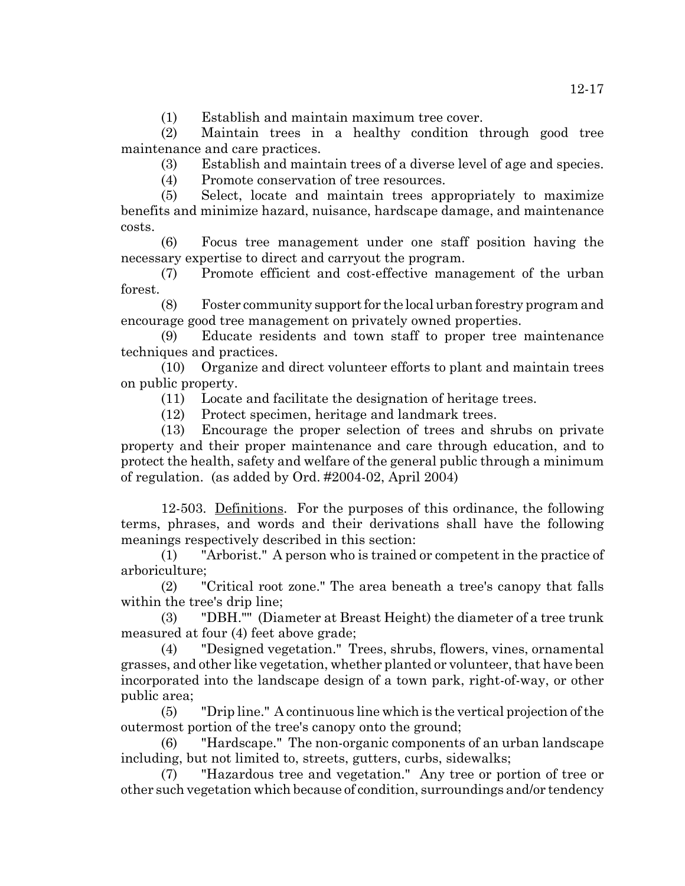(1) Establish and maintain maximum tree cover.

(2) Maintain trees in a healthy condition through good tree maintenance and care practices.

(3) Establish and maintain trees of a diverse level of age and species.

(4) Promote conservation of tree resources.

(5) Select, locate and maintain trees appropriately to maximize benefits and minimize hazard, nuisance, hardscape damage, and maintenance costs.

(6) Focus tree management under one staff position having the necessary expertise to direct and carryout the program.

(7) Promote efficient and cost-effective management of the urban forest.

(8) Foster community support for the local urban forestry program and encourage good tree management on privately owned properties.

(9) Educate residents and town staff to proper tree maintenance techniques and practices.

(10) Organize and direct volunteer efforts to plant and maintain trees on public property.

(11) Locate and facilitate the designation of heritage trees.

(12) Protect specimen, heritage and landmark trees.

(13) Encourage the proper selection of trees and shrubs on private property and their proper maintenance and care through education, and to protect the health, safety and welfare of the general public through a minimum of regulation. (as added by Ord. #2004-02, April 2004)

12-503. Definitions. For the purposes of this ordinance, the following terms, phrases, and words and their derivations shall have the following meanings respectively described in this section:

(1) "Arborist." A person who is trained or competent in the practice of arboriculture;

(2) "Critical root zone." The area beneath a tree's canopy that falls within the tree's drip line;

(3) "DBH."" (Diameter at Breast Height) the diameter of a tree trunk measured at four (4) feet above grade;

(4) "Designed vegetation." Trees, shrubs, flowers, vines, ornamental grasses, and other like vegetation, whether planted or volunteer, that have been incorporated into the landscape design of a town park, right-of-way, or other public area;

(5) "Drip line." A continuous line which is the vertical projection of the outermost portion of the tree's canopy onto the ground;

(6) "Hardscape." The non-organic components of an urban landscape including, but not limited to, streets, gutters, curbs, sidewalks;

(7) "Hazardous tree and vegetation." Any tree or portion of tree or other such vegetation which because of condition, surroundings and/or tendency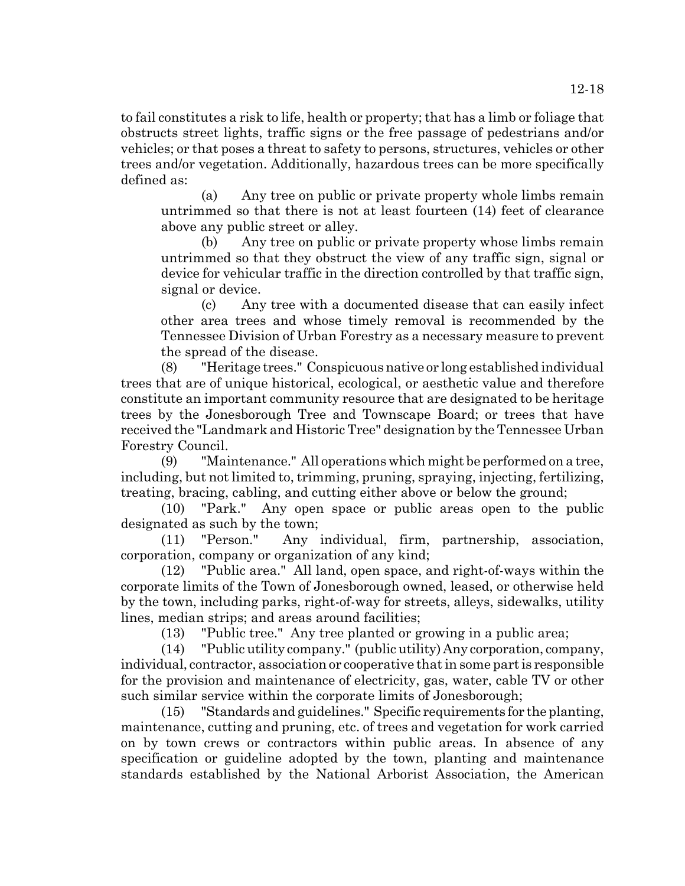to fail constitutes a risk to life, health or property; that has a limb or foliage that obstructs street lights, traffic signs or the free passage of pedestrians and/or vehicles; or that poses a threat to safety to persons, structures, vehicles or other trees and/or vegetation. Additionally, hazardous trees can be more specifically defined as:

(a) Any tree on public or private property whole limbs remain untrimmed so that there is not at least fourteen (14) feet of clearance above any public street or alley.

(b) Any tree on public or private property whose limbs remain untrimmed so that they obstruct the view of any traffic sign, signal or device for vehicular traffic in the direction controlled by that traffic sign, signal or device.

(c) Any tree with a documented disease that can easily infect other area trees and whose timely removal is recommended by the Tennessee Division of Urban Forestry as a necessary measure to prevent the spread of the disease.

(8) "Heritage trees." Conspicuous native or long established individual trees that are of unique historical, ecological, or aesthetic value and therefore constitute an important community resource that are designated to be heritage trees by the Jonesborough Tree and Townscape Board; or trees that have received the "Landmark and Historic Tree" designation by the Tennessee Urban Forestry Council.

(9) "Maintenance." All operations which might be performed on a tree, including, but not limited to, trimming, pruning, spraying, injecting, fertilizing, treating, bracing, cabling, and cutting either above or below the ground;

(10) "Park." Any open space or public areas open to the public designated as such by the town;

(11) "Person." Any individual, firm, partnership, association, corporation, company or organization of any kind;

(12) "Public area." All land, open space, and right-of-ways within the corporate limits of the Town of Jonesborough owned, leased, or otherwise held by the town, including parks, right-of-way for streets, alleys, sidewalks, utility lines, median strips; and areas around facilities;

(13) "Public tree." Any tree planted or growing in a public area;

(14) "Public utility company." (public utility) Any corporation, company, individual, contractor, association or cooperative that in some part is responsible for the provision and maintenance of electricity, gas, water, cable TV or other such similar service within the corporate limits of Jonesborough;

(15) "Standards and guidelines." Specific requirements for the planting, maintenance, cutting and pruning, etc. of trees and vegetation for work carried on by town crews or contractors within public areas. In absence of any specification or guideline adopted by the town, planting and maintenance standards established by the National Arborist Association, the American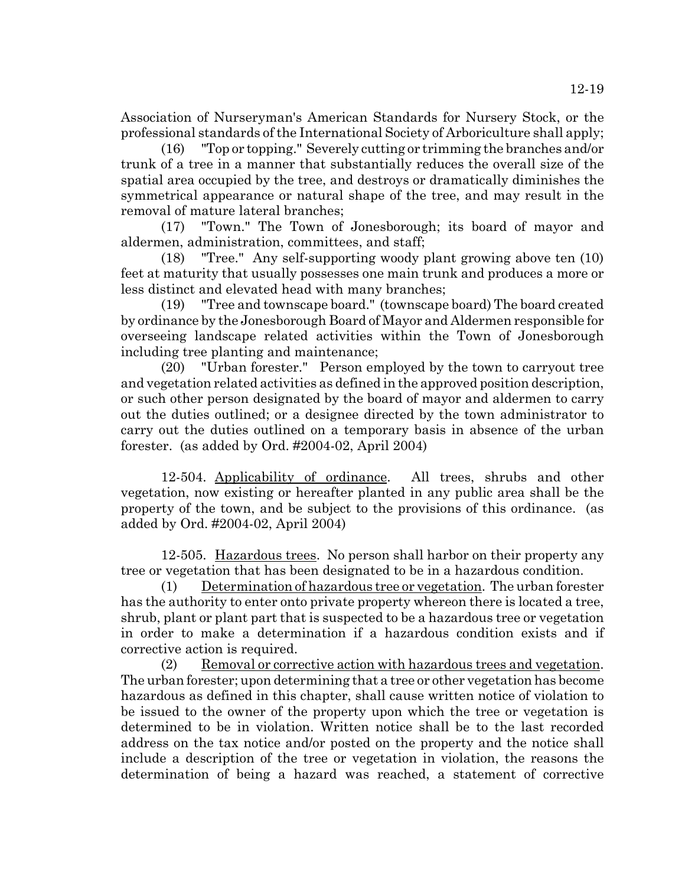Association of Nurseryman's American Standards for Nursery Stock, or the professional standards of the International Society of Arboriculture shall apply;

(16) "Top or topping." Severely cutting or trimming the branches and/or trunk of a tree in a manner that substantially reduces the overall size of the spatial area occupied by the tree, and destroys or dramatically diminishes the symmetrical appearance or natural shape of the tree, and may result in the removal of mature lateral branches;

(17) "Town." The Town of Jonesborough; its board of mayor and aldermen, administration, committees, and staff;

(18) "Tree." Any self-supporting woody plant growing above ten (10) feet at maturity that usually possesses one main trunk and produces a more or less distinct and elevated head with many branches;

(19) "Tree and townscape board." (townscape board) The board created by ordinance by the Jonesborough Board of Mayor and Aldermen responsible for overseeing landscape related activities within the Town of Jonesborough including tree planting and maintenance;

(20) "Urban forester." Person employed by the town to carryout tree and vegetation related activities as defined in the approved position description, or such other person designated by the board of mayor and aldermen to carry out the duties outlined; or a designee directed by the town administrator to carry out the duties outlined on a temporary basis in absence of the urban forester. (as added by Ord. #2004-02, April 2004)

12-504. Applicability of ordinance. All trees, shrubs and other vegetation, now existing or hereafter planted in any public area shall be the property of the town, and be subject to the provisions of this ordinance. (as added by Ord. #2004-02, April 2004)

12-505. Hazardous trees. No person shall harbor on their property any tree or vegetation that has been designated to be in a hazardous condition.

(1) Determination of hazardous tree or vegetation. The urban forester has the authority to enter onto private property whereon there is located a tree, shrub, plant or plant part that is suspected to be a hazardous tree or vegetation in order to make a determination if a hazardous condition exists and if corrective action is required.

(2) Removal or corrective action with hazardous trees and vegetation. The urban forester; upon determining that a tree or other vegetation has become hazardous as defined in this chapter, shall cause written notice of violation to be issued to the owner of the property upon which the tree or vegetation is determined to be in violation. Written notice shall be to the last recorded address on the tax notice and/or posted on the property and the notice shall include a description of the tree or vegetation in violation, the reasons the determination of being a hazard was reached, a statement of corrective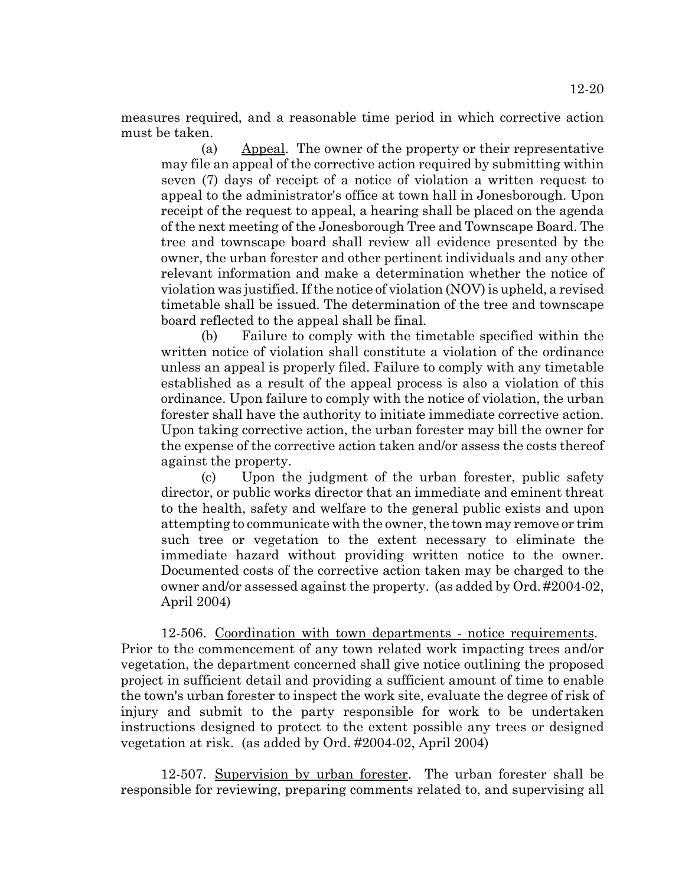12-20

measures required, and a reasonable time period in which corrective action must be taken.

(a) Appeal. The owner of the property or their representative may file an appeal of the corrective action required by submitting within seven (7) days of receipt of a notice of violation a written request to appeal to the administrator's office at town hall in Jonesborough. Upon receipt of the request to appeal, a hearing shall be placed on the agenda of the next meeting of the Jonesborough Tree and Townscape Board. The tree and townscape board shall review all evidence presented by the owner, the urban forester and other pertinent individuals and any other relevant information and make a determination whether the notice of violation was justified. If the notice of violation (NOV) is upheld, a revised timetable shall be issued. The determination of the tree and townscape board reflected to the appeal shall be final.

(b) Failure to comply with the timetable specified within the written notice of violation shall constitute a violation of the ordinance unless an appeal is properly filed. Failure to comply with any timetable established as a result of the appeal process is also a violation of this ordinance. Upon failure to comply with the notice of violation, the urban forester shall have the authority to initiate immediate corrective action. Upon taking corrective action, the urban forester may bill the owner for the expense of the corrective action taken and/or assess the costs thereof against the property.

(c) Upon the judgment of the urban forester, public safety director, or public works director that an immediate and eminent threat to the health, safety and welfare to the general public exists and upon attempting to communicate with the owner, the town may remove or trim such tree or vegetation to the extent necessary to eliminate the immediate hazard without providing written notice to the owner. Documented costs of the corrective action taken may be charged to the owner and/or assessed against the property. (as added by Ord. #2004-02, April 2004)

12-506. Coordination with town departments - notice requirements. Prior to the commencement of any town related work impacting trees and/or vegetation, the department concerned shall give notice outlining the proposed project in sufficient detail and providing a sufficient amount of time to enable the town's urban forester to inspect the work site, evaluate the degree of risk of injury and submit to the party responsible for work to be undertaken instructions designed to protect to the extent possible any trees or designed vegetation at risk. (as added by Ord. #2004-02, April 2004)

12-507. Supervision by urban forester. The urban forester shall be responsible for reviewing, preparing comments related to, and supervising all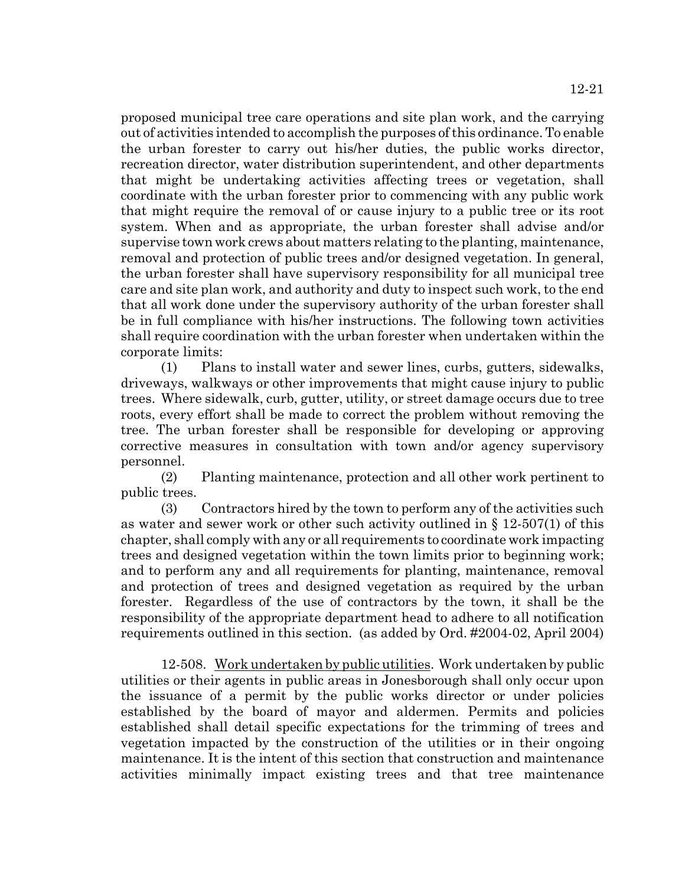proposed municipal tree care operations and site plan work, and the carrying out of activities intended to accomplish the purposes of this ordinance. To enable the urban forester to carry out his/her duties, the public works director, recreation director, water distribution superintendent, and other departments that might be undertaking activities affecting trees or vegetation, shall coordinate with the urban forester prior to commencing with any public work that might require the removal of or cause injury to a public tree or its root system. When and as appropriate, the urban forester shall advise and/or supervise town work crews about matters relating to the planting, maintenance, removal and protection of public trees and/or designed vegetation. In general, the urban forester shall have supervisory responsibility for all municipal tree care and site plan work, and authority and duty to inspect such work, to the end that all work done under the supervisory authority of the urban forester shall be in full compliance with his/her instructions. The following town activities shall require coordination with the urban forester when undertaken within the corporate limits:

(1) Plans to install water and sewer lines, curbs, gutters, sidewalks, driveways, walkways or other improvements that might cause injury to public trees. Where sidewalk, curb, gutter, utility, or street damage occurs due to tree roots, every effort shall be made to correct the problem without removing the tree. The urban forester shall be responsible for developing or approving corrective measures in consultation with town and/or agency supervisory personnel.

(2) Planting maintenance, protection and all other work pertinent to public trees.

(3) Contractors hired by the town to perform any of the activities such as water and sewer work or other such activity outlined in § 12-507(1) of this chapter, shall comply with any or all requirements to coordinate work impacting trees and designed vegetation within the town limits prior to beginning work; and to perform any and all requirements for planting, maintenance, removal and protection of trees and designed vegetation as required by the urban forester. Regardless of the use of contractors by the town, it shall be the responsibility of the appropriate department head to adhere to all notification requirements outlined in this section. (as added by Ord. #2004-02, April 2004)

12-508. Work undertaken by public utilities. Work undertaken by public utilities or their agents in public areas in Jonesborough shall only occur upon the issuance of a permit by the public works director or under policies established by the board of mayor and aldermen. Permits and policies established shall detail specific expectations for the trimming of trees and vegetation impacted by the construction of the utilities or in their ongoing maintenance. It is the intent of this section that construction and maintenance activities minimally impact existing trees and that tree maintenance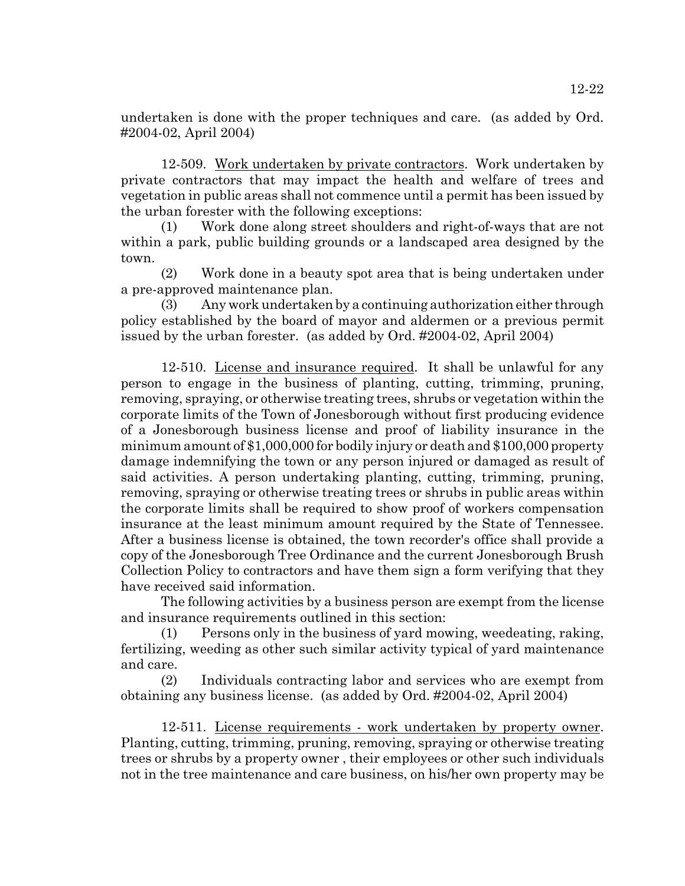undertaken is done with the proper techniques and care. (as added by Ord. #2004-02, April 2004)

12-509. Work undertaken by private contractors. Work undertaken by private contractors that may impact the health and welfare of trees and vegetation in public areas shall not commence until a permit has been issued by the urban forester with the following exceptions:

Work done along street shoulders and right-of-ways that are not within a park, public building grounds or a landscaped area designed by the town.

(2) Work done in a beauty spot area that is being undertaken under a pre-approved maintenance plan.

(3) Any work undertaken by a continuing authorization either through policy established by the board of mayor and aldermen or a previous permit issued by the urban forester. (as added by Ord. #2004-02, April 2004)

12-510. License and insurance required. It shall be unlawful for any person to engage in the business of planting, cutting, trimming, pruning, removing, spraying, or otherwise treating trees, shrubs or vegetation within the corporate limits of the Town of Jonesborough without first producing evidence of a Jonesborough business license and proof of liability insurance in the minimum amount of \$1,000,000 for bodily injury or death and \$100,000 property damage indemnifying the town or any person injured or damaged as result of said activities. A person undertaking planting, cutting, trimming, pruning, removing, spraying or otherwise treating trees or shrubs in public areas within the corporate limits shall be required to show proof of workers compensation insurance at the least minimum amount required by the State of Tennessee. After a business license is obtained, the town recorder's office shall provide a copy of the Jonesborough Tree Ordinance and the current Jonesborough Brush Collection Policy to contractors and have them sign a form verifying that they have received said information.

The following activities by a business person are exempt from the license and insurance requirements outlined in this section:

(1) Persons only in the business of yard mowing, weedeating, raking, fertilizing, weeding as other such similar activity typical of yard maintenance and care.

(2) Individuals contracting labor and services who are exempt from obtaining any business license. (as added by Ord. #2004-02, April 2004)

12-511. License requirements - work undertaken by property owner. Planting, cutting, trimming, pruning, removing, spraying or otherwise treating trees or shrubs by a property owner , their employees or other such individuals not in the tree maintenance and care business, on his/her own property may be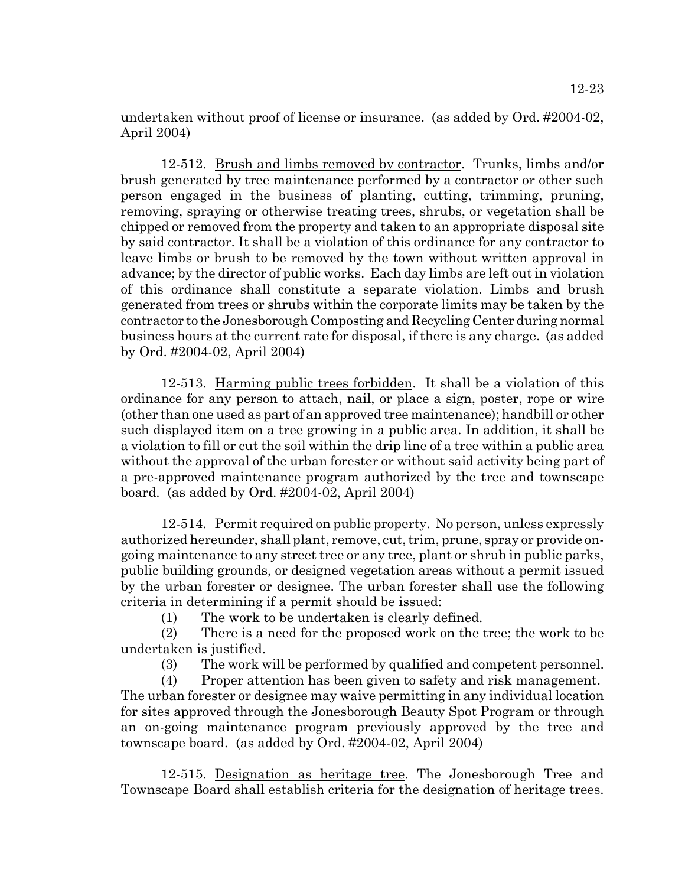12-23

undertaken without proof of license or insurance. (as added by Ord. #2004-02, April 2004)

12-512. Brush and limbs removed by contractor. Trunks, limbs and/or brush generated by tree maintenance performed by a contractor or other such person engaged in the business of planting, cutting, trimming, pruning, removing, spraying or otherwise treating trees, shrubs, or vegetation shall be chipped or removed from the property and taken to an appropriate disposal site by said contractor. It shall be a violation of this ordinance for any contractor to leave limbs or brush to be removed by the town without written approval in advance; by the director of public works. Each day limbs are left out in violation of this ordinance shall constitute a separate violation. Limbs and brush generated from trees or shrubs within the corporate limits may be taken by the contractor to the Jonesborough Composting and Recycling Center during normal business hours at the current rate for disposal, if there is any charge. (as added by Ord. #2004-02, April 2004)

12-513. Harming public trees forbidden. It shall be a violation of this ordinance for any person to attach, nail, or place a sign, poster, rope or wire (other than one used as part of an approved tree maintenance); handbill or other such displayed item on a tree growing in a public area. In addition, it shall be a violation to fill or cut the soil within the drip line of a tree within a public area without the approval of the urban forester or without said activity being part of a pre-approved maintenance program authorized by the tree and townscape board. (as added by Ord. #2004-02, April 2004)

12-514. Permit required on public property. No person, unless expressly authorized hereunder, shall plant, remove, cut, trim, prune, spray or provide ongoing maintenance to any street tree or any tree, plant or shrub in public parks, public building grounds, or designed vegetation areas without a permit issued by the urban forester or designee. The urban forester shall use the following criteria in determining if a permit should be issued:

(1) The work to be undertaken is clearly defined.

(2) There is a need for the proposed work on the tree; the work to be undertaken is justified.

(3) The work will be performed by qualified and competent personnel.

(4) Proper attention has been given to safety and risk management. The urban forester or designee may waive permitting in any individual location for sites approved through the Jonesborough Beauty Spot Program or through an on-going maintenance program previously approved by the tree and townscape board. (as added by Ord. #2004-02, April 2004)

12-515. Designation as heritage tree. The Jonesborough Tree and Townscape Board shall establish criteria for the designation of heritage trees.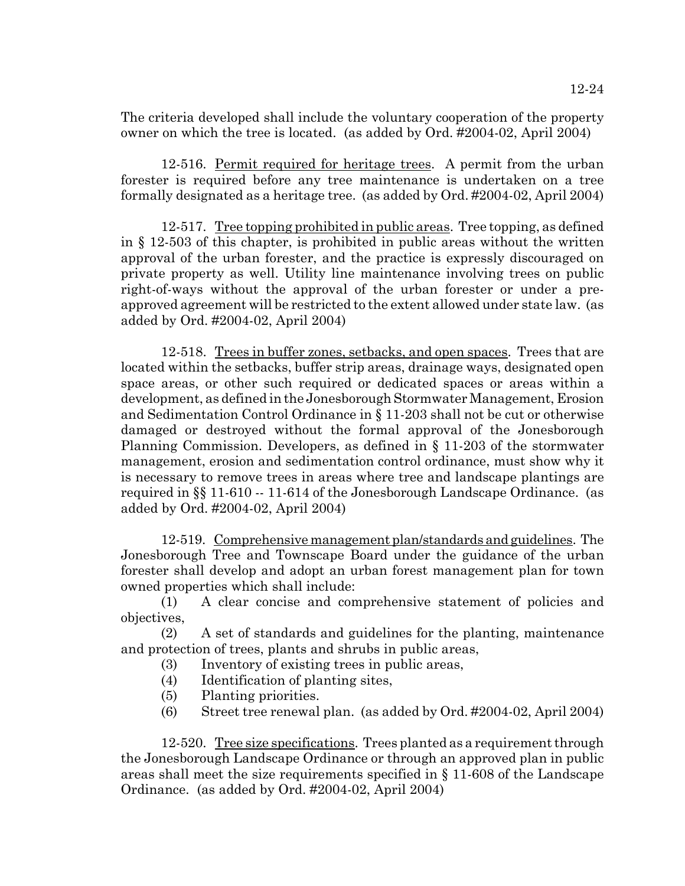The criteria developed shall include the voluntary cooperation of the property owner on which the tree is located. (as added by Ord. #2004-02, April 2004)

12-516. Permit required for heritage trees. A permit from the urban forester is required before any tree maintenance is undertaken on a tree formally designated as a heritage tree. (as added by Ord. #2004-02, April 2004)

12-517. Tree topping prohibited in public areas. Tree topping, as defined in § 12-503 of this chapter, is prohibited in public areas without the written approval of the urban forester, and the practice is expressly discouraged on private property as well. Utility line maintenance involving trees on public right-of-ways without the approval of the urban forester or under a preapproved agreement will be restricted to the extent allowed under state law. (as added by Ord. #2004-02, April 2004)

12-518. Trees in buffer zones, setbacks, and open spaces. Trees that are located within the setbacks, buffer strip areas, drainage ways, designated open space areas, or other such required or dedicated spaces or areas within a development, as defined in the Jonesborough Stormwater Management, Erosion and Sedimentation Control Ordinance in § 11-203 shall not be cut or otherwise damaged or destroyed without the formal approval of the Jonesborough Planning Commission. Developers, as defined in § 11-203 of the stormwater management, erosion and sedimentation control ordinance, must show why it is necessary to remove trees in areas where tree and landscape plantings are required in §§ 11-610 -- 11-614 of the Jonesborough Landscape Ordinance. (as added by Ord. #2004-02, April 2004)

12-519. Comprehensive management plan/standards and guidelines. The Jonesborough Tree and Townscape Board under the guidance of the urban forester shall develop and adopt an urban forest management plan for town owned properties which shall include:

(1) A clear concise and comprehensive statement of policies and objectives,

(2) A set of standards and guidelines for the planting, maintenance and protection of trees, plants and shrubs in public areas,

- (3) Inventory of existing trees in public areas,
- (4) Identification of planting sites,
- (5) Planting priorities.
- (6) Street tree renewal plan. (as added by Ord. #2004-02, April 2004)

12-520. Tree size specifications. Trees planted as a requirement through the Jonesborough Landscape Ordinance or through an approved plan in public areas shall meet the size requirements specified in § 11-608 of the Landscape Ordinance. (as added by Ord. #2004-02, April 2004)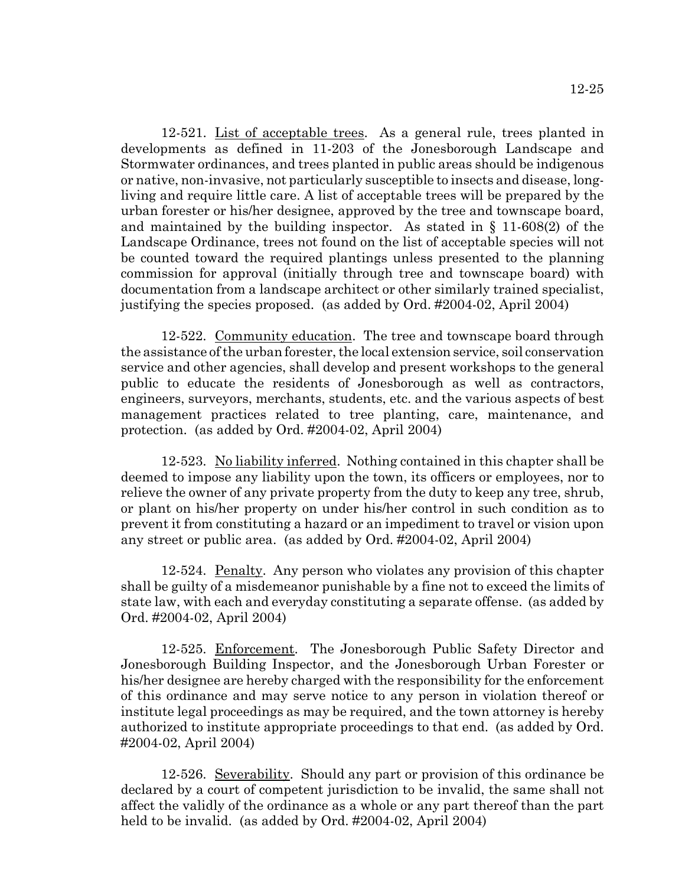12-521. List of acceptable trees. As a general rule, trees planted in developments as defined in 11-203 of the Jonesborough Landscape and Stormwater ordinances, and trees planted in public areas should be indigenous or native, non-invasive, not particularly susceptible to insects and disease, longliving and require little care. A list of acceptable trees will be prepared by the urban forester or his/her designee, approved by the tree and townscape board, and maintained by the building inspector. As stated in § 11-608(2) of the Landscape Ordinance, trees not found on the list of acceptable species will not be counted toward the required plantings unless presented to the planning commission for approval (initially through tree and townscape board) with documentation from a landscape architect or other similarly trained specialist, justifying the species proposed. (as added by Ord. #2004-02, April 2004)

12-522. Community education. The tree and townscape board through the assistance of the urban forester, the local extension service, soil conservation service and other agencies, shall develop and present workshops to the general public to educate the residents of Jonesborough as well as contractors, engineers, surveyors, merchants, students, etc. and the various aspects of best management practices related to tree planting, care, maintenance, and protection. (as added by Ord. #2004-02, April 2004)

12-523. No liability inferred. Nothing contained in this chapter shall be deemed to impose any liability upon the town, its officers or employees, nor to relieve the owner of any private property from the duty to keep any tree, shrub, or plant on his/her property on under his/her control in such condition as to prevent it from constituting a hazard or an impediment to travel or vision upon any street or public area. (as added by Ord. #2004-02, April 2004)

12-524. Penalty. Any person who violates any provision of this chapter shall be guilty of a misdemeanor punishable by a fine not to exceed the limits of state law, with each and everyday constituting a separate offense. (as added by Ord. #2004-02, April 2004)

12-525. Enforcement. The Jonesborough Public Safety Director and Jonesborough Building Inspector, and the Jonesborough Urban Forester or his/her designee are hereby charged with the responsibility for the enforcement of this ordinance and may serve notice to any person in violation thereof or institute legal proceedings as may be required, and the town attorney is hereby authorized to institute appropriate proceedings to that end. (as added by Ord. #2004-02, April 2004)

12-526. Severability. Should any part or provision of this ordinance be declared by a court of competent jurisdiction to be invalid, the same shall not affect the validly of the ordinance as a whole or any part thereof than the part held to be invalid. (as added by Ord. #2004-02, April 2004)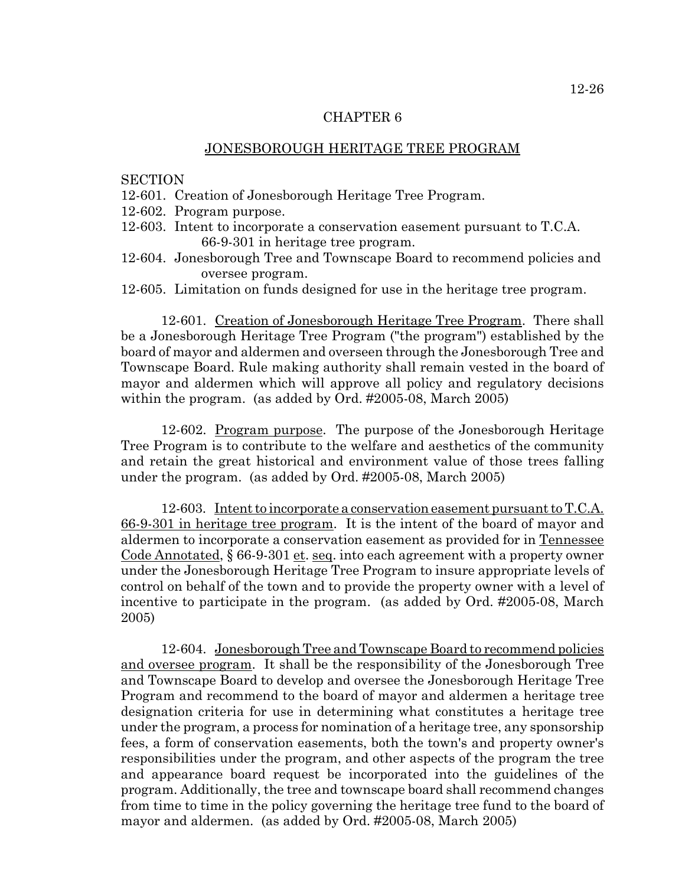## CHAPTER 6

## JONESBOROUGH HERITAGE TREE PROGRAM

## **SECTION**

- 12-601. Creation of Jonesborough Heritage Tree Program.
- 12-602. Program purpose.
- 12-603. Intent to incorporate a conservation easement pursuant to T.C.A. 66-9-301 in heritage tree program.
- 12-604. Jonesborough Tree and Townscape Board to recommend policies and oversee program.
- 12-605. Limitation on funds designed for use in the heritage tree program.

12-601. Creation of Jonesborough Heritage Tree Program. There shall be a Jonesborough Heritage Tree Program ("the program") established by the board of mayor and aldermen and overseen through the Jonesborough Tree and Townscape Board. Rule making authority shall remain vested in the board of mayor and aldermen which will approve all policy and regulatory decisions within the program. (as added by Ord. #2005-08, March 2005)

12-602. <u>Program purpose</u>. The purpose of the Jonesborough Heritage Tree Program is to contribute to the welfare and aesthetics of the community and retain the great historical and environment value of those trees falling under the program. (as added by Ord. #2005-08, March 2005)

12-603. Intent to incorporate a conservation easement pursuant to T.C.A. 66-9-301 in heritage tree program. It is the intent of the board of mayor and aldermen to incorporate a conservation easement as provided for in Tennessee Code Annotated, § 66-9-301 et. seq. into each agreement with a property owner under the Jonesborough Heritage Tree Program to insure appropriate levels of control on behalf of the town and to provide the property owner with a level of incentive to participate in the program. (as added by Ord. #2005-08, March 2005)

12-604. Jonesborough Tree and Townscape Board to recommend policies and oversee program. It shall be the responsibility of the Jonesborough Tree and Townscape Board to develop and oversee the Jonesborough Heritage Tree Program and recommend to the board of mayor and aldermen a heritage tree designation criteria for use in determining what constitutes a heritage tree under the program, a process for nomination of a heritage tree, any sponsorship fees, a form of conservation easements, both the town's and property owner's responsibilities under the program, and other aspects of the program the tree and appearance board request be incorporated into the guidelines of the program. Additionally, the tree and townscape board shall recommend changes from time to time in the policy governing the heritage tree fund to the board of mayor and aldermen. (as added by Ord. #2005-08, March 2005)